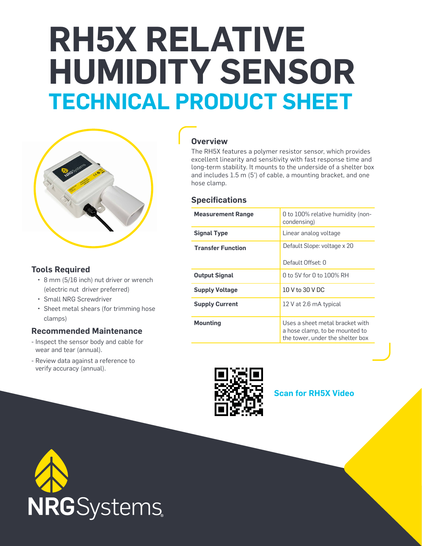# **RH5X RELATIVE HUMIDITY SENSOR TECHNICAL PRODUCT SHEET**



### **Tools Required**

- 8 mm (5/16 inch) nut driver or wrench (electric nut driver preferred)
- Small NRG Screwdriver
- Sheet metal shears (for trimming hose clamps)

#### **Recommended Maintenance**

- Inspect the sensor body and cable for wear and tear (annual).
- Review data against a reference to verify accuracy (annual).

## **Overview**

The RH5X features a polymer resistor sensor, which provides excellent linearity and sensitivity with fast response time and long-term stability. It mounts to the underside of a shelter box and includes 1.5 m (5') of cable, a mounting bracket, and one hose clamp.

#### **Specifications**

| <b>Measurement Range</b> | 0 to 100% relative humidity (non-<br>condensing)                                                      |
|--------------------------|-------------------------------------------------------------------------------------------------------|
| <b>Signal Type</b>       | Linear analog voltage                                                                                 |
| <b>Transfer Function</b> | Default Slope: voltage x 20                                                                           |
|                          | Default Offset: 0                                                                                     |
| <b>Output Signal</b>     | 0 to 5V for 0 to 100% RH                                                                              |
| <b>Supply Voltage</b>    | 10 V to 30 V DC                                                                                       |
| <b>Supply Current</b>    | 12 V at 2.6 mA typical                                                                                |
| <b>Mounting</b>          | Uses a sheet metal bracket with<br>a hose clamp, to be mounted to<br>the tower, under the shelter box |



**Scan for RH5X Video**